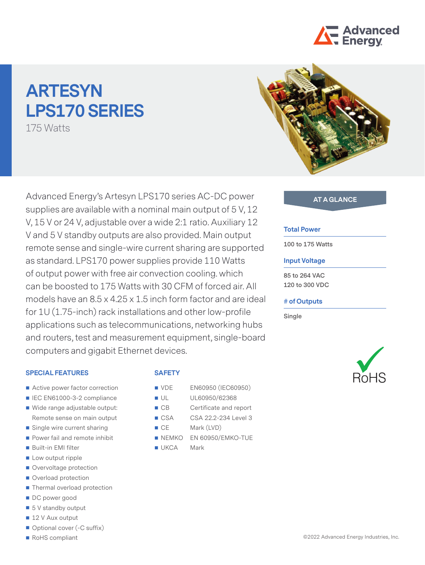

# **ARTESYN LPS170 SERIES**

175 Watts



### **SPECIAL FEATURES**

- Active power factor correction
- IEC EN61000-3-2 compliance
- Wide range adjustable output: Remote sense on main output
- Single wire current sharing
- Power fail and remote inhibit
- Built-in EMI filter
- **Low output ripple**
- Overvoltage protection
- Overload protection
- Thermal overload protection
- DC power good
- $\blacksquare$  5 V standby output
- 12 V Aux output
- Optional cover (-C suffix)
- RoHS compliant

# **SAFETY**

- **VDE** EN60950 (IEC60950)
- UL UL60950/62368
- CB Certificate and report
- CSA CSA 22.2-234 Level 3
- CE Mark (LVD)
- NEMKO EN 60950/EMKO-TUE
- **UKCA** Mark



#### **Total Power**

**100 to 175 Watts**

### **Input Voltage**

**85 to 264 VAC 120 to 300 VDC**

#### **# of Outputs**

**Single**

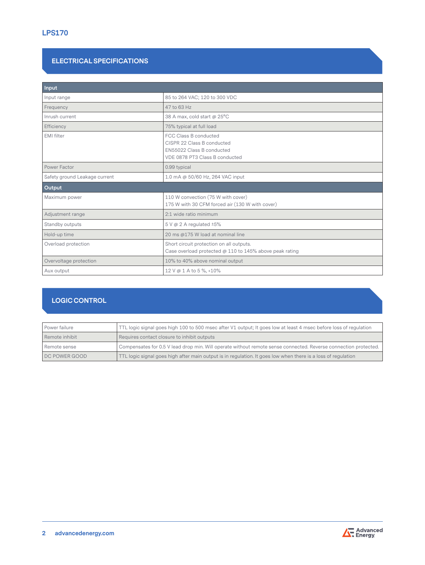## **ELECTRICAL SPECIFICATIONS**

| Input                         |                                                                                                                    |
|-------------------------------|--------------------------------------------------------------------------------------------------------------------|
| Input range                   | 85 to 264 VAC; 120 to 300 VDC                                                                                      |
| Frequency                     | 47 to 63 Hz                                                                                                        |
| Inrush current                | 38 A max, cold start @ 25°C                                                                                        |
| Efficiency                    | 75% typical at full load                                                                                           |
| EMI filter                    | FCC Class B conducted<br>CISPR 22 Class B conducted<br>EN55022 Class B conducted<br>VDE 0878 PT3 Class B conducted |
| Power Factor                  | 0.99 typical                                                                                                       |
| Safety ground Leakage current | 1.0 mA @ 50/60 Hz, 264 VAC input                                                                                   |
| Output                        |                                                                                                                    |
| Maximum power                 | 110 W convection (75 W with cover)<br>175 W with 30 CFM forced air (130 W with cover)                              |
| Adjustment range              | 2:1 wide ratio minimum                                                                                             |
| Standby outputs               | $5 \vee \omega$ 2 A regulated $\pm 5\%$                                                                            |
| Hold-up time                  | 20 ms @175 W load at nominal line                                                                                  |
| Overload protection           | Short circuit protection on all outputs.<br>Case overload protected @ 110 to 145% above peak rating                |
| Overvoltage protection        | 10% to 40% above nominal output                                                                                    |
| Aux output                    | 12 V @ 1 A to 5 %, +10%                                                                                            |

# **LOGIC CONTROL**

| Power failure  | TTL logic signal goes high 100 to 500 msec after V1 output; It goes low at least 4 msec before loss of regulation |
|----------------|-------------------------------------------------------------------------------------------------------------------|
| Remote inhibit | Requires contact closure to inhibit outputs                                                                       |
| Remote sense   | Compensates for 0.5 V lead drop min. Will operate without remote sense connected. Reverse connection protected.   |
| DC POWER GOOD  | TTL logic signal goes high after main output is in regulation. It goes low when there is a loss of regulation     |

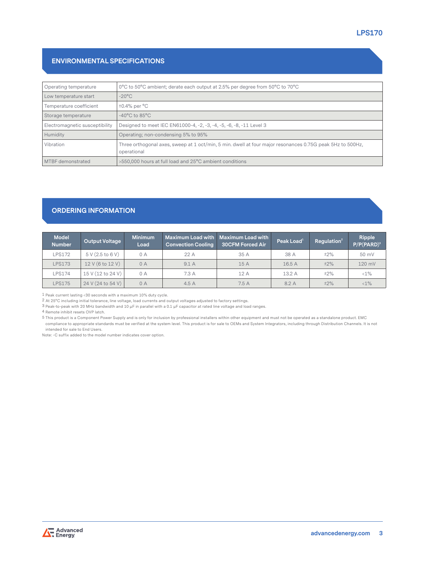## **ENVIRONMENTAL SPECIFICATIONS**

| Operating temperature          | 0°C to 50°C ambient; derate each output at 2.5% per degree from 50°C to 70°C                                             |
|--------------------------------|--------------------------------------------------------------------------------------------------------------------------|
| Low temperature start          | $-20^{\circ}$ C                                                                                                          |
| Temperature coefficient        | $\pm 0.4\%$ per $^{\circ}$ C                                                                                             |
| Storage temperature            | $-40^{\circ}$ C to 85 $^{\circ}$ C                                                                                       |
| Electromagnetic susceptibility | Designed to meet IEC EN61000-4, -2, -3, -4, -5, -6, -8, -11 Level 3                                                      |
| Humidity                       | Operating; non-condensing 5% to 95%                                                                                      |
| Vibration                      | Three orthogonal axes, sweep at 1 oct/min, 5 min. dwell at four major resonances 0.75G peak 5Hz to 500Hz,<br>operational |
| MTBF demonstrated              | >550,000 hours at full load and 25°C ambient conditions                                                                  |

# **ORDERING INFORMATION**

| <b>Model</b><br><b>Number</b> | <b>Output Voltage</b> | <b>Minimum</b><br>Load | <b>Convection Cooling</b> | <b>Maximum Load with Maximum Load with</b><br><b>30CFM Forced Air</b> | Peak Load $1$ | Regulation $2$ | Ripple<br>$P/P(PARD)^3$ |
|-------------------------------|-----------------------|------------------------|---------------------------|-----------------------------------------------------------------------|---------------|----------------|-------------------------|
| <b>LPS172</b>                 | 5 V (2.5 to 6 V)      | 0 A                    | 22 A                      | 35 A                                                                  | 38 A          | ±2%            | 50 mV                   |
| <b>LPS173</b>                 | 12 V (6 to 12 V)      | 0A                     | 9.1A                      | 15 A                                                                  | 16.5 A        | ±2%            | 120 mV                  |
| <b>LPS174</b>                 | 15 V (12 to 24 V)     | 0A                     | 7.3A                      | 12 A                                                                  | 13.2 A        | ±2%            | $<1\%$                  |
| <b>LPS175</b>                 | 24 V (24 to 54 V)     | 0A                     | 4.5A                      | 7.5A                                                                  | 8.2 A         | ±2%            | $<1\%$                  |

1 Peak current lasting <30 seconds with a maximum 10% duty cycle.

2 At 25°C including initial tolerance, line voltage, load currents and output voltages adjusted to factory settings.

3 Peak-to-peak with 20 MHz bandwidth and 10 μF in parallel with a 0.1 μF capacitor at rated line voltage and load ranges.

4 Remote inhibit resets OVP latch.

5 This product is a Component Power Supply and is only for inclusion by professional installers within other equipment and must not be operated as a standalone product. EMC compliance to appropriate standards must be verified at the system level. This product is for sale to OEMs and System Integrators, including through Distribution Channels. It is not intended for sale to End Users.

Note: -C suffix added to the model number indicates cover option.

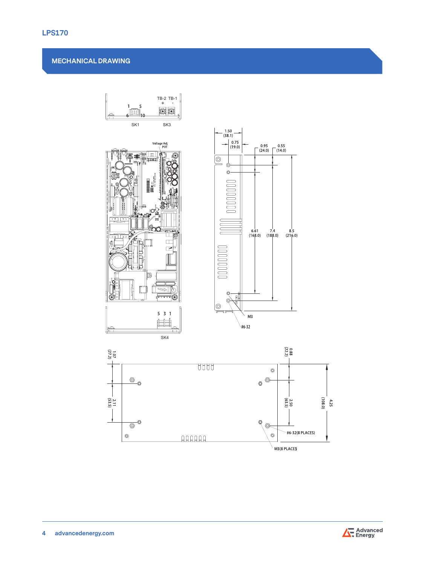## **MECHANICAL DRAWING**





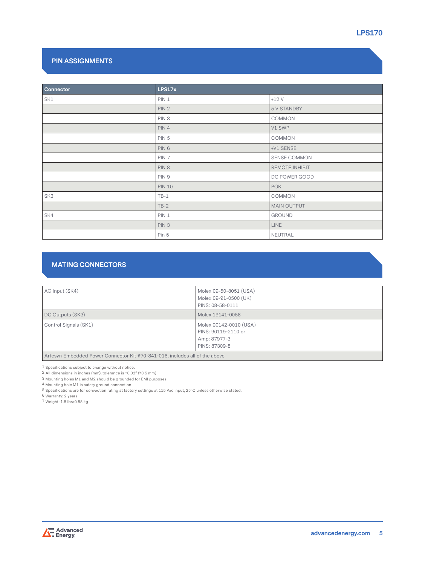## **PIN ASSIGNMENTS**

| Connector | LPS17x           |                     |
|-----------|------------------|---------------------|
| SK1       | PIN 1            | $+12V$              |
|           | PIN <sub>2</sub> | 5 V STANDBY         |
|           | PIN <sub>3</sub> | COMMON              |
|           | PIN 4            | V1 SWP              |
|           | PIN <sub>5</sub> | COMMON              |
|           | PIN 6            | +V1 SENSE           |
|           | PIN <sub>7</sub> | <b>SENSE COMMON</b> |
|           | PIN 8            | REMOTE INHIBIT      |
|           | PIN 9            | DC POWER GOOD       |
|           | <b>PIN 10</b>    | <b>POK</b>          |
| SK3       | $TB-1$           | COMMON              |
|           | $TB-2$           | MAIN OUTPUT         |
| SK4       | PIN 1            | GROUND              |
|           | PIN <sub>3</sub> | <b>LINE</b>         |
|           | Pin 5            | NEUTRAL             |

# **MATING CONNECTORS**

| AC Input (SK4)                                                              | Molex 09-50-8051 (USA)<br>Molex 09-91-0500 (UK)<br>PINS: 08-58-0111            |
|-----------------------------------------------------------------------------|--------------------------------------------------------------------------------|
| DC Outputs (SK3)                                                            | Molex 19141-0058                                                               |
| Control Signals (SK1)                                                       | Molex 90142-0010 (USA)<br>PINS: 90119-2110 or<br>Amp: 87977-3<br>PINS: 87309-8 |
| Artesyn Embedded Power Connector Kit #70-841-016, includes all of the above |                                                                                |

1 Specifications subject to change without notice.

2 All dimensions in inches (mm), tolerance is ±0.02" (±0.5 mm)

3 Mounting holes M1 and M2 should be grounded for EMI purposes.

4 Mounting hole M1 is safety ground connection.

 $^5$  Specifications are for convection rating at factory settings at 115 Vac input, 25°C unless otherwise stated.

6 Warranty: 2 years

7 Weight: 1.8 lbs/0.85 kg